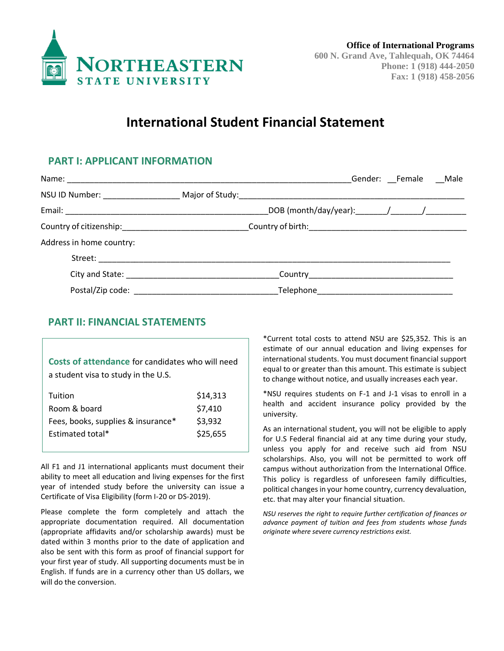

# **International Student Financial Statement**

### **PART I: APPLICANT INFORMATION**

|                                                                                                                |  | Gender: Female _Male |  |
|----------------------------------------------------------------------------------------------------------------|--|----------------------|--|
|                                                                                                                |  |                      |  |
|                                                                                                                |  |                      |  |
| Country of citizenship:___________________________________Country of birth:___________________________________ |  |                      |  |
| Address in home country:                                                                                       |  |                      |  |
|                                                                                                                |  |                      |  |
|                                                                                                                |  |                      |  |
|                                                                                                                |  |                      |  |

## **PART II: FINANCIAL STATEMENTS**

**Costs of attendance** for candidates who will need a student visa to study in the U.S.

| Tuition                            | \$14,313 |
|------------------------------------|----------|
| Room & board                       | \$7,410  |
| Fees, books, supplies & insurance* | \$3,932  |
| Estimated total*                   | \$25,655 |
|                                    |          |

All F1 and J1 international applicants must document their ability to meet all education and living expenses for the first year of intended study before the university can issue a Certificate of Visa Eligibility (form I-20 or DS-2019).

Please complete the form completely and attach the appropriate documentation required. All documentation (appropriate affidavits and/or scholarship awards) must be dated within 3 months prior to the date of application and also be sent with this form as proof of financial support for your first year of study. All supporting documents must be in English. If funds are in a currency other than US dollars, we will do the conversion.

\*Current total costs to attend NSU are \$25,352. This is an estimate of our annual education and living expenses for international students. You must document financial support equal to or greater than this amount. This estimate is subject to change without notice, and usually increases each year.

\*NSU requires students on F-1 and J-1 visas to enroll in a health and accident insurance policy provided by the university.

As an international student, you will not be eligible to apply for U.S Federal financial aid at any time during your study, unless you apply for and receive such aid from NSU scholarships. Also, you will not be permitted to work off campus without authorization from the International Office. This policy is regardless of unforeseen family difficulties, political changes in your home country, currency devaluation, etc. that may alter your financial situation.

*NSU reserves the right to require further certification of finances or advance payment of tuition and fees from students whose funds originate where severe currency restrictions exist.*